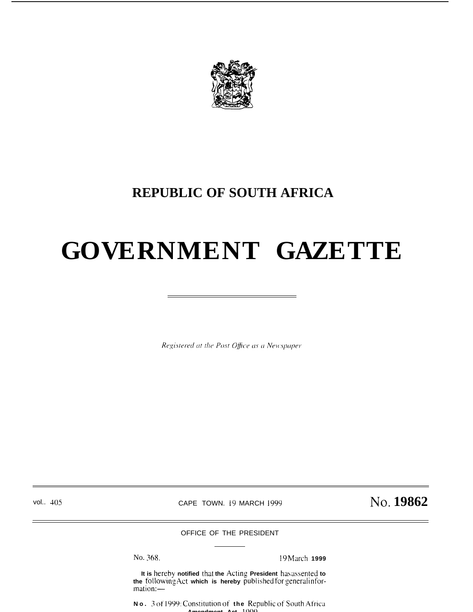

### **REPUBLIC OF SOUTH AFRICA**

# **GOVERNMENT GAZETTE**

Registered at the Post Office as a Newspaper

vol.. 405 **CAPE TOWN. 19 MARCH 1999** No. 19862

OFFICE OF THE PRESIDENT

No. 368. 19 March 1999

It is hereby notified that the Acting President has assented to the following Act which is hereby published for general information:-

**No. 3** of 1999: Constitution of the Republic of South Africa **Amendment Act 1999**